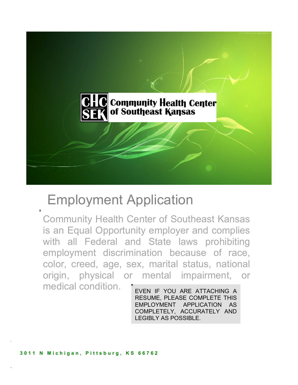

# Employment Application

Community Health Center of Southeast Kansas is an Equal Opportunity employer and complies with all Federal and State laws prohibiting employment discrimination because of race, color, creed, age, sex, marital status, national origin, physical or mental impairment, or medical condition.

EVEN IF YOU ARE ATTACHING A RESUME, PLEASE COMPLETE THIS EMPLOYMENT APPLICATION AS COMPLETELY, ACCURATELY AND LEGIBLY AS POSSIBLE.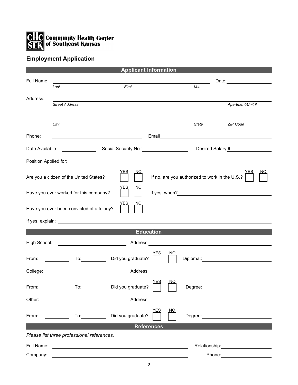

## **Employment Application**

|                                                                                                                      |                                                                                                                                                                                                                               | <b>Applicant Information</b>    |                      |                                                        |  |
|----------------------------------------------------------------------------------------------------------------------|-------------------------------------------------------------------------------------------------------------------------------------------------------------------------------------------------------------------------------|---------------------------------|----------------------|--------------------------------------------------------|--|
| Full Name:                                                                                                           |                                                                                                                                                                                                                               |                                 |                      |                                                        |  |
|                                                                                                                      | Last                                                                                                                                                                                                                          | First                           | M.I.                 |                                                        |  |
| Address:                                                                                                             |                                                                                                                                                                                                                               |                                 |                      |                                                        |  |
|                                                                                                                      | <b>Street Address</b>                                                                                                                                                                                                         |                                 |                      | Apartment/Unit #                                       |  |
|                                                                                                                      |                                                                                                                                                                                                                               |                                 |                      |                                                        |  |
|                                                                                                                      | City                                                                                                                                                                                                                          |                                 | State                | <b>ZIP Code</b>                                        |  |
|                                                                                                                      |                                                                                                                                                                                                                               |                                 |                      |                                                        |  |
| Phone:                                                                                                               | <u> 1989 - Johann Barn, mars eta bainar eta baina eta baina eta baina eta baina eta baina eta baina eta baina e</u>                                                                                                           |                                 |                      |                                                        |  |
| Date Available:                                                                                                      |                                                                                                                                                                                                                               |                                 |                      | Desired Salary:\$                                      |  |
|                                                                                                                      |                                                                                                                                                                                                                               |                                 |                      |                                                        |  |
| <b>YES</b><br><u>NO</u><br>If no, are you authorized to work in the U.S.?<br>Are you a citizen of the United States? |                                                                                                                                                                                                                               |                                 |                      |                                                        |  |
| Have you ever worked for this company?<br>If yes, when?                                                              |                                                                                                                                                                                                                               |                                 |                      |                                                        |  |
|                                                                                                                      | Have you ever been convicted of a felony?                                                                                                                                                                                     |                                 |                      |                                                        |  |
|                                                                                                                      |                                                                                                                                                                                                                               |                                 |                      |                                                        |  |
|                                                                                                                      |                                                                                                                                                                                                                               | <b>Education</b>                |                      |                                                        |  |
| High School:                                                                                                         | <u> 1989 - Johann Barbara, martin d</u>                                                                                                                                                                                       | Address:                        |                      |                                                        |  |
| From:                                                                                                                | To: and the state of the state of the state of the state of the state of the state of the state of the state o<br><u>and the state</u>                                                                                        | YES<br>Did you graduate?        | NΟ                   | Diploma:: <u>www.community.community.community.com</u> |  |
|                                                                                                                      | College: the collection of the collection of the collection of the collection of the collection of the collection of the collection of the collection of the collection of the collection of the collection of the collection | Address:                        |                      |                                                        |  |
| From:                                                                                                                | To: To                                                                                                                                                                                                                        | <u>YES</u><br>Did you graduate? | <u>NO</u><br>Degree: |                                                        |  |
| Other:                                                                                                               |                                                                                                                                                                                                                               | Address:                        |                      |                                                        |  |
|                                                                                                                      |                                                                                                                                                                                                                               |                                 |                      |                                                        |  |
| From:                                                                                                                | $\mathsf{To:}\_\_\_\_\_\_\_\_\$                                                                                                                                                                                               | YES<br>Did you graduate?        | NO                   |                                                        |  |
| <b>References</b>                                                                                                    |                                                                                                                                                                                                                               |                                 |                      |                                                        |  |
| Please list three professional references.                                                                           |                                                                                                                                                                                                                               |                                 |                      |                                                        |  |
|                                                                                                                      |                                                                                                                                                                                                                               |                                 |                      |                                                        |  |
| Full Name:                                                                                                           |                                                                                                                                                                                                                               |                                 | Relationship:        |                                                        |  |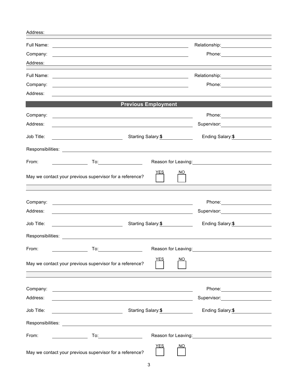| Address:               |                                                                                                                        |                            |                                                                                                                  |
|------------------------|------------------------------------------------------------------------------------------------------------------------|----------------------------|------------------------------------------------------------------------------------------------------------------|
| Full Name:<br>Company: | <u> 1989 - Andrea Barbara, poeta esperanto-poeta esperanto-poeta esperanto-poeta esperanto-poeta esperanto-poeta</u>   |                            | Relationship: 2000<br>Phone: ________________________                                                            |
| Address:               |                                                                                                                        |                            |                                                                                                                  |
| Full Name:             |                                                                                                                        |                            |                                                                                                                  |
| Company:               |                                                                                                                        |                            |                                                                                                                  |
| Address:               |                                                                                                                        |                            |                                                                                                                  |
|                        |                                                                                                                        | <b>Previous Employment</b> |                                                                                                                  |
| Company:               | <u> 1980 - John Stein, marking and de Brazilian (b. 1980)</u>                                                          |                            |                                                                                                                  |
| Address:               |                                                                                                                        |                            | Supervisor: ____________________                                                                                 |
| Job Title:             |                                                                                                                        | Starting Salary:\$         | Ending Salary:\$                                                                                                 |
|                        |                                                                                                                        |                            |                                                                                                                  |
| From:                  |                                                                                                                        |                            | Reason for Leaving: 1997                                                                                         |
|                        | May we contact your previous supervisor for a reference?                                                               | YES                        | NO                                                                                                               |
|                        |                                                                                                                        |                            |                                                                                                                  |
| Company:               | <u> 1980 - Antonio Alemania, politikar politikar (h. 1980)</u>                                                         |                            |                                                                                                                  |
| Address:               |                                                                                                                        |                            | Supervisor: 2000                                                                                                 |
| Job Title:             | Starting Salary:\$                                                                                                     |                            | Ending Salary: \$                                                                                                |
|                        | Responsibilities: <u>_________________________</u>                                                                     |                            |                                                                                                                  |
| From:                  |                                                                                                                        |                            | Reason for Leaving: 1997                                                                                         |
|                        | May we contact your previous supervisor for a reference?                                                               | YES                        | NO.                                                                                                              |
|                        |                                                                                                                        |                            |                                                                                                                  |
| Company:               | <u> 1989 - Johann Stoff, deutscher Stoffen und der Stoffen und der Stoffen und der Stoffen und der Stoffen und der</u> |                            | Phone: _________________________                                                                                 |
| Address:               | <u> 1989 - Johann Stoff, deutscher Stoffen und der Stoffen und der Stoffen und der Stoffen und der Stoffen und der</u> |                            | Supervisor: Victor Control of Control Control Control Control Control Control Control Control Control Control Co |
| Job Title:             |                                                                                                                        | Starting Salary: \$        | Ending Salary: \$                                                                                                |
|                        |                                                                                                                        |                            |                                                                                                                  |
| From:                  |                                                                                                                        |                            | Reason for Leaving: 1997                                                                                         |
|                        |                                                                                                                        | <u>YES</u>                 | NO                                                                                                               |
|                        | May we contact your previous supervisor for a reference?                                                               |                            |                                                                                                                  |